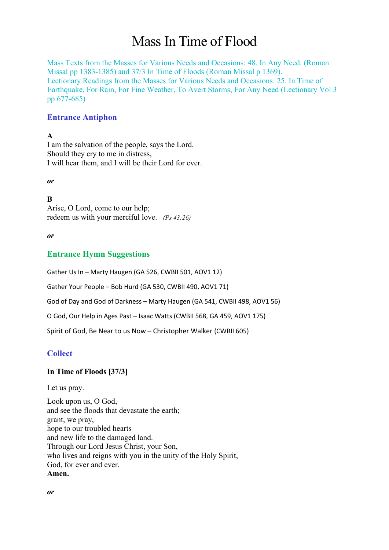# Mass In Time of Flood

Mass Texts from the Masses for Various Needs and Occasions: 48. In Any Need. (Roman Missal pp 1383-1385) and 37/3 In Time of Floods (Roman Missal p 1369). Lectionary Readings from the Masses for Various Needs and Occasions: 25. In Time of Earthquake, For Rain, For Fine Weather, To Avert Storms, For Any Need (Lectionary Vol 3 pp 677-685)

# **Entrance Antiphon**

# **A**

I am the salvation of the people, says the Lord. Should they cry to me in distress, I will hear them, and I will be their Lord for ever.

# *or*

# **B**

Arise, O Lord, come to our help; redeem us with your merciful love. *(Ps 43:26)*

### *or*

# **Entrance Hymn Suggestions**

Gather Us In – Marty Haugen (GA 526, CWBII 501, AOV1 12)

Gather Your People – Bob Hurd (GA 530, CWBII 490, AOV1 71)

God of Day and God of Darkness – Marty Haugen (GA 541, CWBII 498, AOV1 56)

O God, Our Help in Ages Past – Isaac Watts (CWBII 568, GA 459, AOV1 175)

Spirit of God, Be Near to us Now – Christopher Walker (CWBII 605)

# **Collect**

# **In Time of Floods [37/3]**

Let us pray.

Look upon us, O God, and see the floods that devastate the earth; grant, we pray, hope to our troubled hearts and new life to the damaged land. Through our Lord Jesus Christ, your Son, who lives and reigns with you in the unity of the Holy Spirit, God, for ever and ever. **Amen.**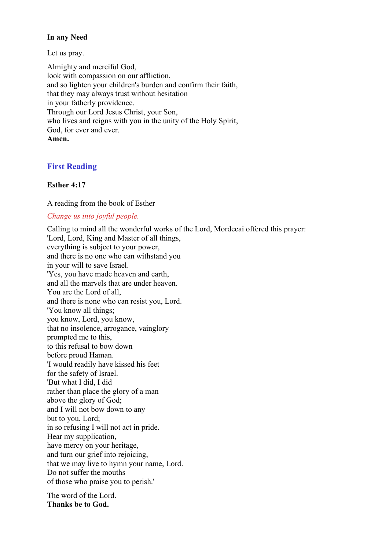#### **In any Need**

Let us pray.

Almighty and merciful God, look with compassion on our affliction, and so lighten your children's burden and confirm their faith, that they may always trust without hesitation in your fatherly providence. Through our Lord Jesus Christ, your Son, who lives and reigns with you in the unity of the Holy Spirit, God, for ever and ever. **Amen.**

# **First Reading**

# **Esther 4:17**

A reading from the book of Esther

# *Change us into joyful people.*

Calling to mind all the wonderful works of the Lord, Mordecai offered this prayer: 'Lord, Lord, King and Master of all things, everything is subject to your power, and there is no one who can withstand you in your will to save Israel. 'Yes, you have made heaven and earth, and all the marvels that are under heaven. You are the Lord of all, and there is none who can resist you, Lord. 'You know all things; you know, Lord, you know, that no insolence, arrogance, vainglory prompted me to this, to this refusal to bow down before proud Haman. 'I would readily have kissed his feet for the safety of Israel. 'But what I did, I did rather than place the glory of a man above the glory of God; and I will not bow down to any but to you, Lord; in so refusing I will not act in pride. Hear my supplication, have mercy on your heritage, and turn our grief into rejoicing, that we may live to hymn your name, Lord. Do not suffer the mouths of those who praise you to perish.'

The word of the Lord. **Thanks be to God.**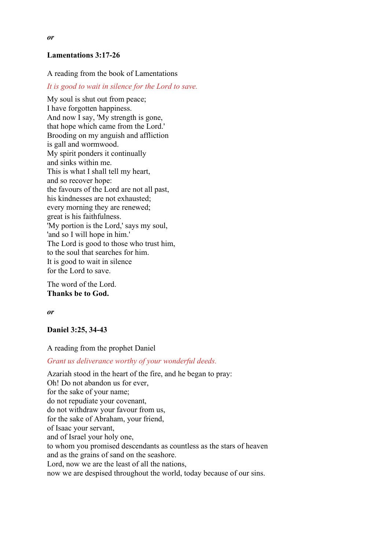#### **Lamentations 3:17-26**

#### A reading from the book of Lamentations

#### *It is good to wait in silence for the Lord to save.*

My soul is shut out from peace; I have forgotten happiness. And now I say, 'My strength is gone, that hope which came from the Lord.' Brooding on my anguish and affliction is gall and wormwood. My spirit ponders it continually and sinks within me. This is what I shall tell my heart, and so recover hope: the favours of the Lord are not all past, his kindnesses are not exhausted; every morning they are renewed; great is his faithfulness. 'My portion is the Lord,' says my soul, 'and so I will hope in him.' The Lord is good to those who trust him, to the soul that searches for him. It is good to wait in silence for the Lord to save.

The word of the Lord. **Thanks be to God.**

*or*

**Daniel 3:25, 34-43** 

#### A reading from the prophet Daniel

*Grant us deliverance worthy of your wonderful deeds.*

Azariah stood in the heart of the fire, and he began to pray: Oh! Do not abandon us for ever, for the sake of your name; do not repudiate your covenant, do not withdraw your favour from us, for the sake of Abraham, your friend, of Isaac your servant, and of Israel your holy one, to whom you promised descendants as countless as the stars of heaven and as the grains of sand on the seashore. Lord, now we are the least of all the nations, now we are despised throughout the world, today because of our sins.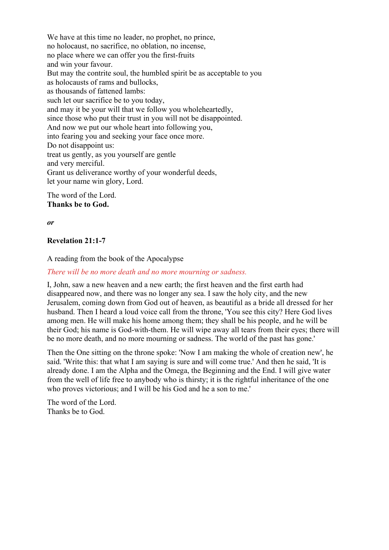We have at this time no leader, no prophet, no prince, no holocaust, no sacrifice, no oblation, no incense, no place where we can offer you the first-fruits and win your favour. But may the contrite soul, the humbled spirit be as acceptable to you as holocausts of rams and bullocks, as thousands of fattened lambs: such let our sacrifice be to you today, and may it be your will that we follow you wholeheartedly, since those who put their trust in you will not be disappointed. And now we put our whole heart into following you, into fearing you and seeking your face once more. Do not disappoint us: treat us gently, as you yourself are gentle and very merciful. Grant us deliverance worthy of your wonderful deeds, let your name win glory, Lord.

The word of the Lord. **Thanks be to God.**

*or*

### **Revelation 21:1-7**

#### A reading from the book of the Apocalypse

#### *There will be no more death and no more mourning or sadness.*

I, John, saw a new heaven and a new earth; the first heaven and the first earth had disappeared now, and there was no longer any sea. I saw the holy city, and the new Jerusalem, coming down from God out of heaven, as beautiful as a bride all dressed for her husband. Then I heard a loud voice call from the throne, 'You see this city? Here God lives among men. He will make his home among them; they shall be his people, and he will be their God; his name is God-with-them. He will wipe away all tears from their eyes; there will be no more death, and no more mourning or sadness. The world of the past has gone.'

Then the One sitting on the throne spoke: 'Now I am making the whole of creation new', he said. 'Write this: that what I am saying is sure and will come true.' And then he said, 'It is already done. I am the Alpha and the Omega, the Beginning and the End. I will give water from the well of life free to anybody who is thirsty; it is the rightful inheritance of the one who proves victorious; and I will be his God and he a son to me.'

The word of the Lord. Thanks be to God.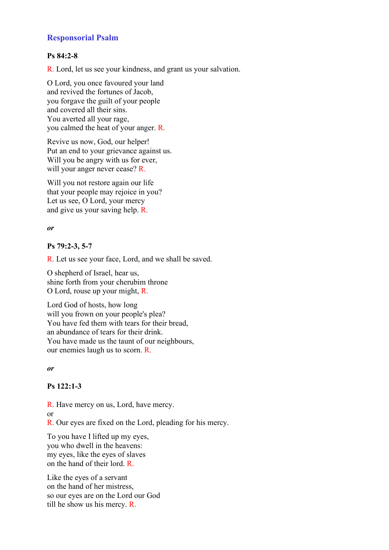# **Responsorial Psalm**

# **Ps 84:2-8**

R. Lord, let us see your kindness, and grant us your salvation.

O Lord, you once favoured your land and revived the fortunes of Jacob, you forgave the guilt of your people and covered all their sins. You averted all your rage, you calmed the heat of your anger. R.

Revive us now, God, our helper! Put an end to your grievance against us. Will you be angry with us for ever, will your anger never cease? R.

Will you not restore again our life that your people may rejoice in you? Let us see, O Lord, your mercy and give us your saving help. R.

### *or*

### **Ps 79:2-3, 5-7**

R. Let us see your face, Lord, and we shall be saved.

O shepherd of Israel, hear us, shine forth from your cherubim throne O Lord, rouse up your might, R.

Lord God of hosts, how long will you frown on your people's plea? You have fed them with tears for their bread, an abundance of tears for their drink. You have made us the taunt of our neighbours, our enemies laugh us to scorn. R.

#### *or*

# **Ps 122:1-3**

R. Have mercy on us, Lord, have mercy. or R. Our eyes are fixed on the Lord, pleading for his mercy.

To you have I lifted up my eyes, you who dwell in the heavens: my eyes, like the eyes of slaves on the hand of their lord. R.

Like the eyes of a servant on the hand of her mistress, so our eyes are on the Lord our God till he show us his mercy. R.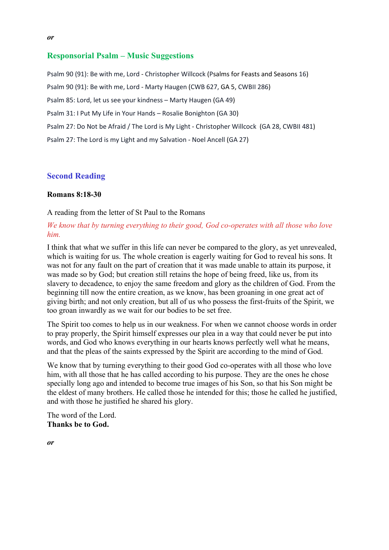#### **Responsorial Psalm – Music Suggestions**

Psalm 90 (91): Be with me, Lord - Christopher Willcock (Psalms for Feasts and Seasons 16) Psalm 90 (91): Be with me, Lord - Marty Haugen (CWB 627, GA 5, CWBII 286) Psalm 85: Lord, let us see your kindness – Marty Haugen (GA 49) Psalm 31: I Put My Life in Your Hands – Rosalie Bonighton (GA 30) Psalm 27: Do Not be Afraid / The Lord is My Light - Christopher Willcock (GA 28, CWBII 481) Psalm 27: The Lord is my Light and my Salvation - Noel Ancell (GA 27)

#### **Second Reading**

#### **Romans 8:18-30**

A reading from the letter of St Paul to the Romans

#### *We know that by turning everything to their good, God co-operates with all those who love him.*

I think that what we suffer in this life can never be compared to the glory, as yet unrevealed, which is waiting for us. The whole creation is eagerly waiting for God to reveal his sons. It was not for any fault on the part of creation that it was made unable to attain its purpose, it was made so by God; but creation still retains the hope of being freed, like us, from its slavery to decadence, to enjoy the same freedom and glory as the children of God. From the beginning till now the entire creation, as we know, has been groaning in one great act of giving birth; and not only creation, but all of us who possess the first-fruits of the Spirit, we too groan inwardly as we wait for our bodies to be set free.

The Spirit too comes to help us in our weakness. For when we cannot choose words in order to pray properly, the Spirit himself expresses our plea in a way that could never be put into words, and God who knows everything in our hearts knows perfectly well what he means, and that the pleas of the saints expressed by the Spirit are according to the mind of God.

We know that by turning everything to their good God co-operates with all those who love him, with all those that he has called according to his purpose. They are the ones he chose specially long ago and intended to become true images of his Son, so that his Son might be the eldest of many brothers. He called those he intended for this; those he called he justified, and with those he justified he shared his glory.

The word of the Lord. **Thanks be to God.**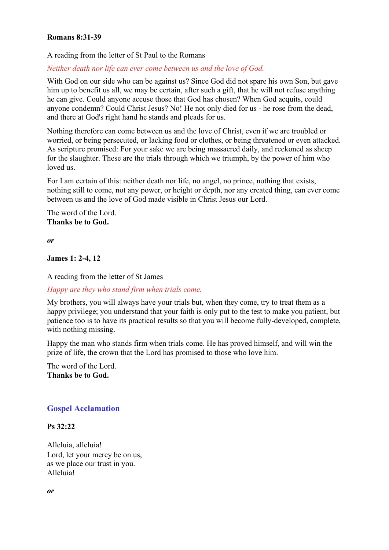#### **Romans 8:31-39**

A reading from the letter of St Paul to the Romans

*Neither death nor life can ever come between us and the love of God.*

With God on our side who can be against us? Since God did not spare his own Son, but gave him up to benefit us all, we may be certain, after such a gift, that he will not refuse anything he can give. Could anyone accuse those that God has chosen? When God acquits, could anyone condemn? Could Christ Jesus? No! He not only died for us - he rose from the dead, and there at God's right hand he stands and pleads for us.

Nothing therefore can come between us and the love of Christ, even if we are troubled or worried, or being persecuted, or lacking food or clothes, or being threatened or even attacked. As scripture promised: For your sake we are being massacred daily, and reckoned as sheep for the slaughter. These are the trials through which we triumph, by the power of him who loved us.

For I am certain of this: neither death nor life, no angel, no prince, nothing that exists, nothing still to come, not any power, or height or depth, nor any created thing, can ever come between us and the love of God made visible in Christ Jesus our Lord.

The word of the Lord. **Thanks be to God.**

*or*

**James 1: 2-4, 12** 

A reading from the letter of St James

*Happy are they who stand firm when trials come.*

My brothers, you will always have your trials but, when they come, try to treat them as a happy privilege; you understand that your faith is only put to the test to make you patient, but patience too is to have its practical results so that you will become fully-developed, complete, with nothing missing.

Happy the man who stands firm when trials come. He has proved himself, and will win the prize of life, the crown that the Lord has promised to those who love him.

The word of the Lord. **Thanks be to God.**

# **Gospel Acclamation**

**Ps 32:22**

Alleluia, alleluia! Lord, let your mercy be on us, as we place our trust in you. Alleluia!

*or*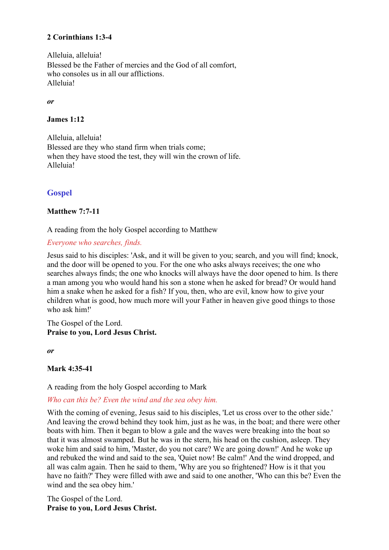# **2 Corinthians 1:3-4**

Alleluia, alleluia! Blessed be the Father of mercies and the God of all comfort, who consoles us in all our afflictions. Alleluia!

### *or*

# **James 1:12**

Alleluia, alleluia! Blessed are they who stand firm when trials come; when they have stood the test, they will win the crown of life. Alleluia!

# **Gospel**

# **Matthew 7:7-11**

A reading from the holy Gospel according to Matthew

*Everyone who searches, finds.*

Jesus said to his disciples: 'Ask, and it will be given to you; search, and you will find; knock, and the door will be opened to you. For the one who asks always receives; the one who searches always finds; the one who knocks will always have the door opened to him. Is there a man among you who would hand his son a stone when he asked for bread? Or would hand him a snake when he asked for a fish? If you, then, who are evil, know how to give your children what is good, how much more will your Father in heaven give good things to those who ask him!'

The Gospel of the Lord. **Praise to you, Lord Jesus Christ.**

*or*

# **Mark 4:35-41**

A reading from the holy Gospel according to Mark

# *Who can this be? Even the wind and the sea obey him.*

With the coming of evening, Jesus said to his disciples, 'Let us cross over to the other side.' And leaving the crowd behind they took him, just as he was, in the boat; and there were other boats with him. Then it began to blow a gale and the waves were breaking into the boat so that it was almost swamped. But he was in the stern, his head on the cushion, asleep. They woke him and said to him, 'Master, do you not care? We are going down!' And he woke up and rebuked the wind and said to the sea, 'Quiet now! Be calm!' And the wind dropped, and all was calm again. Then he said to them, 'Why are you so frightened? How is it that you have no faith?' They were filled with awe and said to one another, 'Who can this be? Even the wind and the sea obey him.'

The Gospel of the Lord. **Praise to you, Lord Jesus Christ.**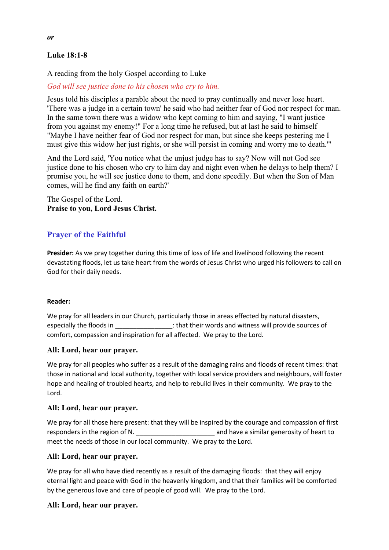# **Luke 18:1-8**

A reading from the holy Gospel according to Luke

*God will see justice done to his chosen who cry to him.*

Jesus told his disciples a parable about the need to pray continually and never lose heart. 'There was a judge in a certain town' he said who had neither fear of God nor respect for man. In the same town there was a widow who kept coming to him and saying, "I want justice from you against my enemy!" For a long time he refused, but at last he said to himself "Maybe I have neither fear of God nor respect for man, but since she keeps pestering me I must give this widow her just rights, or she will persist in coming and worry me to death."'

And the Lord said, 'You notice what the unjust judge has to say? Now will not God see justice done to his chosen who cry to him day and night even when he delays to help them? I promise you, he will see justice done to them, and done speedily. But when the Son of Man comes, will he find any faith on earth?'

The Gospel of the Lord. **Praise to you, Lord Jesus Christ.**

# **Prayer of the Faithful**

**Presider:** As we pray together during this time of loss of life and livelihood following the recent devastating floods, let us take heart from the words of Jesus Christ who urged his followers to call on God for their daily needs.

#### **Reader:**

We pray for all leaders in our Church, particularly those in areas effected by natural disasters, especially the floods in  $\cdot$  that their words and witness will provide sources of comfort, compassion and inspiration for all affected. We pray to the Lord.

# **All: Lord, hear our prayer.**

We pray for all peoples who suffer as a result of the damaging rains and floods of recent times: that those in national and local authority, together with local service providers and neighbours, will foster hope and healing of troubled hearts, and help to rebuild lives in their community. We pray to the Lord.

#### **All: Lord, hear our prayer.**

We pray for all those here present: that they will be inspired by the courage and compassion of first responders in the region of N. The set of the state of the and have a similar generosity of heart to meet the needs of those in our local community. We pray to the Lord.

# **All: Lord, hear our prayer.**

We pray for all who have died recently as a result of the damaging floods: that they will enjoy eternal light and peace with God in the heavenly kingdom, and that their families will be comforted by the generous love and care of people of good will. We pray to the Lord.

# **All: Lord, hear our prayer.**

*or*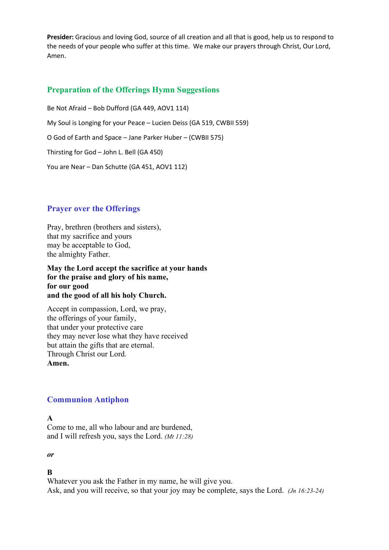**Presider:** Gracious and loving God, source of all creation and all that is good, help us to respond to the needs of your people who suffer at this time. We make our prayers through Christ, Our Lord, Amen.

#### **Preparation of the Offerings Hymn Suggestions**

Be Not Afraid – Bob Dufford (GA 449, AOV1 114) My Soul is Longing for your Peace – Lucien Deiss (GA 519, CWBII 559) O God of Earth and Space – Jane Parker Huber – (CWBII 575) Thirsting for God – John L. Bell (GA 450) You are Near – Dan Schutte (GA 451, AOV1 112)

# **Prayer over the Offerings**

Pray, brethren (brothers and sisters), that my sacrifice and yours may be acceptable to God, the almighty Father.

**May the Lord accept the sacrifice at your hands for the praise and glory of his name, for our good and the good of all his holy Church.**

Accept in compassion, Lord, we pray, the offerings of your family, that under your protective care they may never lose what they have received but attain the gifts that are eternal. Through Christ our Lord. **Amen.**

# **Communion Antiphon**

#### **A**

Come to me, all who labour and are burdened, and I will refresh you, says the Lord. *(Mt 11:28)*

#### *or*

#### **B**

Whatever you ask the Father in my name, he will give you. Ask, and you will receive, so that your joy may be complete, says the Lord. *(Jn 16:23-24)*